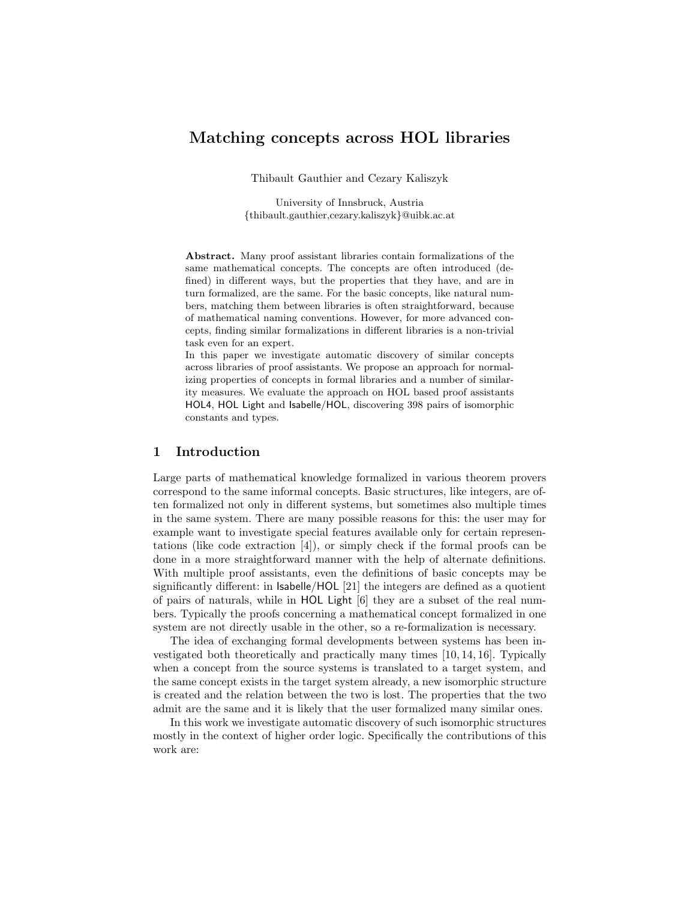# Matching concepts across HOL libraries

Thibault Gauthier and Cezary Kaliszyk

University of Innsbruck, Austria {thibault.gauthier,cezary.kaliszyk}@uibk.ac.at

Abstract. Many proof assistant libraries contain formalizations of the same mathematical concepts. The concepts are often introduced (defined) in different ways, but the properties that they have, and are in turn formalized, are the same. For the basic concepts, like natural numbers, matching them between libraries is often straightforward, because of mathematical naming conventions. However, for more advanced concepts, finding similar formalizations in different libraries is a non-trivial task even for an expert.

In this paper we investigate automatic discovery of similar concepts across libraries of proof assistants. We propose an approach for normalizing properties of concepts in formal libraries and a number of similarity measures. We evaluate the approach on HOL based proof assistants HOL4, HOL Light and Isabelle/HOL, discovering 398 pairs of isomorphic constants and types.

#### 1 Introduction

Large parts of mathematical knowledge formalized in various theorem provers correspond to the same informal concepts. Basic structures, like integers, are often formalized not only in different systems, but sometimes also multiple times in the same system. There are many possible reasons for this: the user may for example want to investigate special features available only for certain representations (like code extraction [4]), or simply check if the formal proofs can be done in a more straightforward manner with the help of alternate definitions. With multiple proof assistants, even the definitions of basic concepts may be significantly different: in Isabelle/HOL [21] the integers are defined as a quotient of pairs of naturals, while in HOL Light [6] they are a subset of the real numbers. Typically the proofs concerning a mathematical concept formalized in one system are not directly usable in the other, so a re-formalization is necessary.

The idea of exchanging formal developments between systems has been investigated both theoretically and practically many times [10, 14, 16]. Typically when a concept from the source systems is translated to a target system, and the same concept exists in the target system already, a new isomorphic structure is created and the relation between the two is lost. The properties that the two admit are the same and it is likely that the user formalized many similar ones.

In this work we investigate automatic discovery of such isomorphic structures mostly in the context of higher order logic. Specifically the contributions of this work are: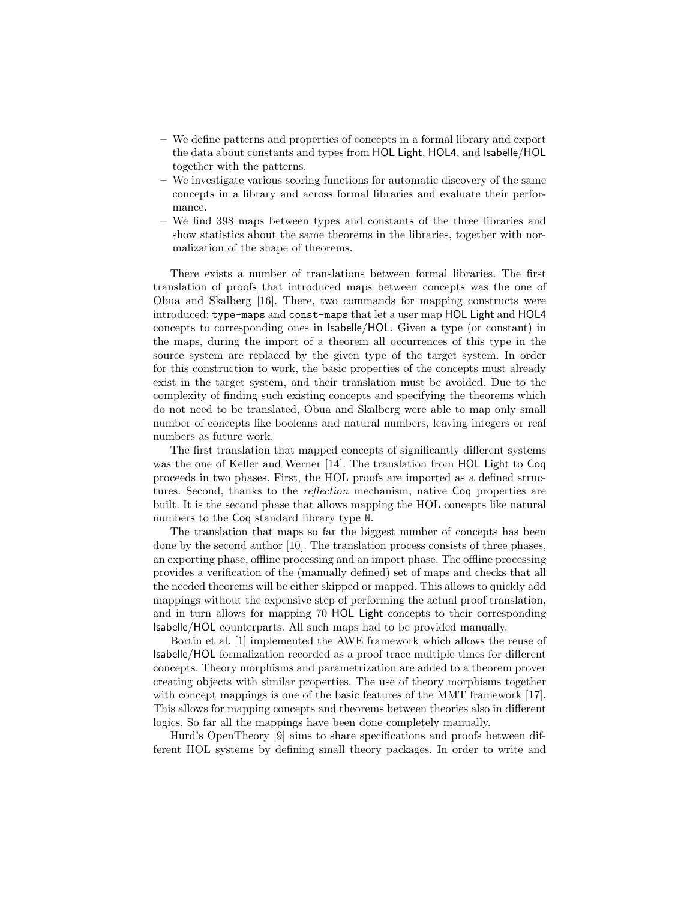- We define patterns and properties of concepts in a formal library and export the data about constants and types from HOL Light, HOL4, and Isabelle/HOL together with the patterns.
- We investigate various scoring functions for automatic discovery of the same concepts in a library and across formal libraries and evaluate their performance.
- We find 398 maps between types and constants of the three libraries and show statistics about the same theorems in the libraries, together with normalization of the shape of theorems.

There exists a number of translations between formal libraries. The first translation of proofs that introduced maps between concepts was the one of Obua and Skalberg [16]. There, two commands for mapping constructs were introduced: type-maps and const-maps that let a user map HOL Light and HOL4 concepts to corresponding ones in Isabelle/HOL. Given a type (or constant) in the maps, during the import of a theorem all occurrences of this type in the source system are replaced by the given type of the target system. In order for this construction to work, the basic properties of the concepts must already exist in the target system, and their translation must be avoided. Due to the complexity of finding such existing concepts and specifying the theorems which do not need to be translated, Obua and Skalberg were able to map only small number of concepts like booleans and natural numbers, leaving integers or real numbers as future work.

The first translation that mapped concepts of significantly different systems was the one of Keller and Werner [14]. The translation from HOL Light to Coq proceeds in two phases. First, the HOL proofs are imported as a defined structures. Second, thanks to the *reflection* mechanism, native Coq properties are built. It is the second phase that allows mapping the HOL concepts like natural numbers to the Coq standard library type N.

The translation that maps so far the biggest number of concepts has been done by the second author [10]. The translation process consists of three phases, an exporting phase, offline processing and an import phase. The offline processing provides a verification of the (manually defined) set of maps and checks that all the needed theorems will be either skipped or mapped. This allows to quickly add mappings without the expensive step of performing the actual proof translation, and in turn allows for mapping 70 HOL Light concepts to their corresponding Isabelle/HOL counterparts. All such maps had to be provided manually.

Bortin et al. [1] implemented the AWE framework which allows the reuse of Isabelle/HOL formalization recorded as a proof trace multiple times for different concepts. Theory morphisms and parametrization are added to a theorem prover creating objects with similar properties. The use of theory morphisms together with concept mappings is one of the basic features of the MMT framework [17]. This allows for mapping concepts and theorems between theories also in different logics. So far all the mappings have been done completely manually.

Hurd's OpenTheory [9] aims to share specifications and proofs between different HOL systems by defining small theory packages. In order to write and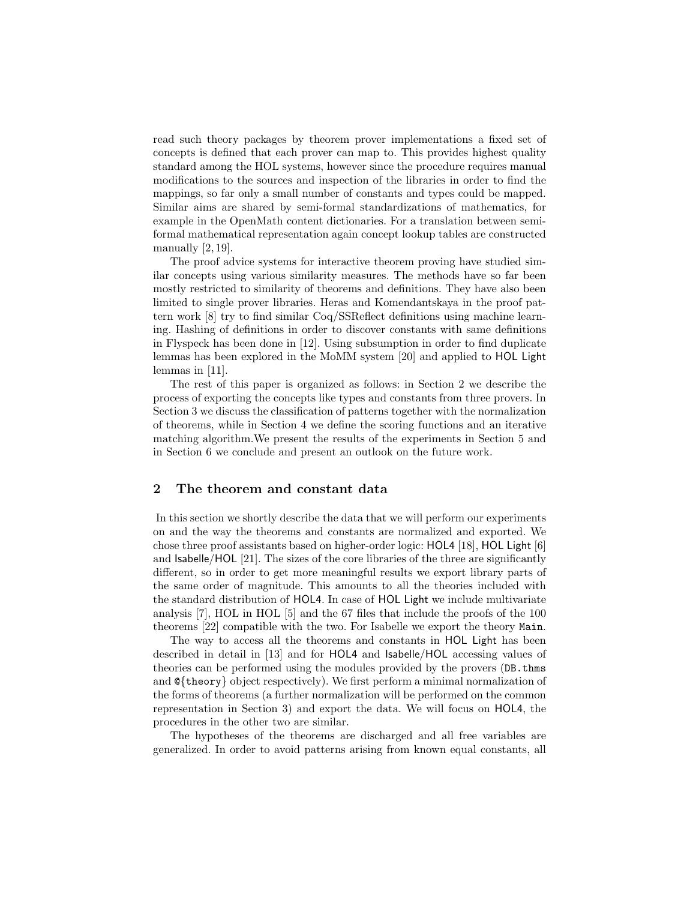read such theory packages by theorem prover implementations a fixed set of concepts is defined that each prover can map to. This provides highest quality standard among the HOL systems, however since the procedure requires manual modifications to the sources and inspection of the libraries in order to find the mappings, so far only a small number of constants and types could be mapped. Similar aims are shared by semi-formal standardizations of mathematics, for example in the OpenMath content dictionaries. For a translation between semiformal mathematical representation again concept lookup tables are constructed manually [2, 19].

The proof advice systems for interactive theorem proving have studied similar concepts using various similarity measures. The methods have so far been mostly restricted to similarity of theorems and definitions. They have also been limited to single prover libraries. Heras and Komendantskaya in the proof pattern work [8] try to find similar Coq/SSReflect definitions using machine learning. Hashing of definitions in order to discover constants with same definitions in Flyspeck has been done in [12]. Using subsumption in order to find duplicate lemmas has been explored in the MoMM system [20] and applied to HOL Light lemmas in [11].

The rest of this paper is organized as follows: in Section 2 we describe the process of exporting the concepts like types and constants from three provers. In Section 3 we discuss the classification of patterns together with the normalization of theorems, while in Section 4 we define the scoring functions and an iterative matching algorithm.We present the results of the experiments in Section 5 and in Section 6 we conclude and present an outlook on the future work.

#### 2 The theorem and constant data

In this section we shortly describe the data that we will perform our experiments on and the way the theorems and constants are normalized and exported. We chose three proof assistants based on higher-order logic: HOL4 [18], HOL Light [6] and Isabelle/HOL [21]. The sizes of the core libraries of the three are significantly different, so in order to get more meaningful results we export library parts of the same order of magnitude. This amounts to all the theories included with the standard distribution of HOL4. In case of HOL Light we include multivariate analysis [7], HOL in HOL [5] and the 67 files that include the proofs of the 100 theorems [22] compatible with the two. For Isabelle we export the theory Main.

The way to access all the theorems and constants in HOL Light has been described in detail in [13] and for HOL4 and Isabelle/HOL accessing values of theories can be performed using the modules provided by the provers (DB.thms and @{theory} object respectively). We first perform a minimal normalization of the forms of theorems (a further normalization will be performed on the common representation in Section 3) and export the data. We will focus on HOL4, the procedures in the other two are similar.

The hypotheses of the theorems are discharged and all free variables are generalized. In order to avoid patterns arising from known equal constants, all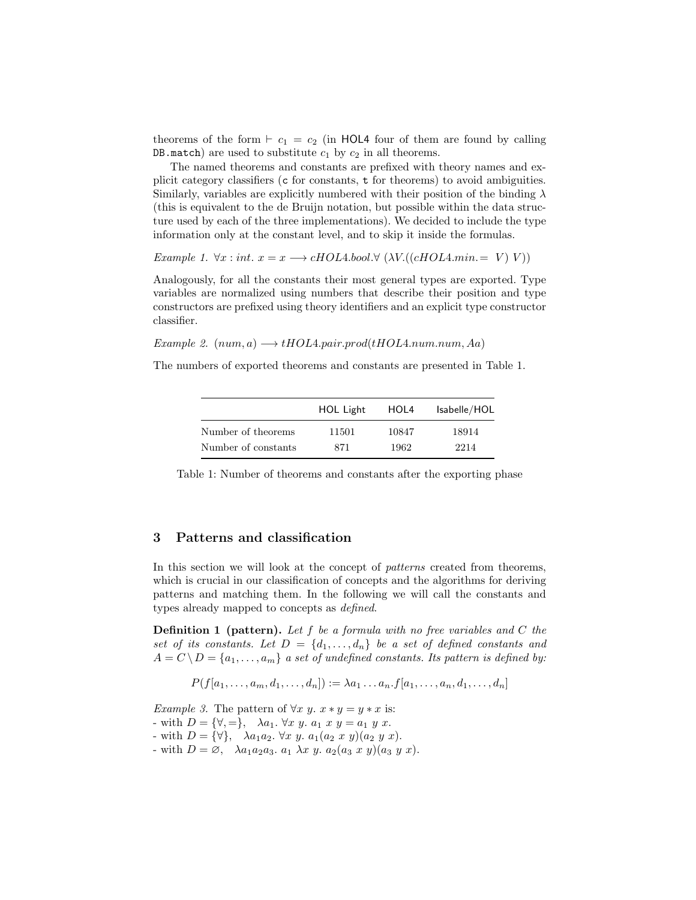theorems of the form  $\vdash c_1 = c_2$  (in HOL4 four of them are found by calling DB.match) are used to substitute  $c_1$  by  $c_2$  in all theorems.

The named theorems and constants are prefixed with theory names and explicit category classifiers (c for constants, t for theorems) to avoid ambiguities. Similarly, variables are explicitly numbered with their position of the binding  $\lambda$ (this is equivalent to the de Bruijn notation, but possible within the data structure used by each of the three implementations). We decided to include the type information only at the constant level, and to skip it inside the formulas.

Example 1.  $\forall x : int. \ x = x \longrightarrow cHOL4 \cdot bool. \forall (\lambda V.((cHOL4 \cdot min. = V) V))$ 

Analogously, for all the constants their most general types are exported. Type variables are normalized using numbers that describe their position and type constructors are prefixed using theory identifiers and an explicit type constructor classifier.

Example 2.  $(num, a) \longrightarrow tHOL4$ .pair.prod(tHOL4.num.num, Aa)

The numbers of exported theorems and constants are presented in Table 1.

|                     | HOL Light | HOL4  | Isabelle/HOL |
|---------------------|-----------|-------|--------------|
| Number of theorems  | 11501     | 10847 | 18914        |
| Number of constants | 871       | 1962  | 2214         |

Table 1: Number of theorems and constants after the exporting phase

# 3 Patterns and classification

In this section we will look at the concept of *patterns* created from theorems, which is crucial in our classification of concepts and the algorithms for deriving patterns and matching them. In the following we will call the constants and types already mapped to concepts as defined.

**Definition 1** (pattern). Let  $f$  be a formula with no free variables and  $C$  the set of its constants. Let  $D = \{d_1, \ldots, d_n\}$  be a set of defined constants and  $A = C \setminus D = \{a_1, \ldots, a_m\}$  a set of undefined constants. Its pattern is defined by:

 $P(f[a_1, \ldots, a_m, d_1, \ldots, d_n]) := \lambda a_1 \ldots a_n f[a_1, \ldots, a_n, d_1, \ldots, d_n]$ 

Example 3. The pattern of  $\forall x \ y. x * y = y * x$  is: - with  $D = \{ \forall, = \}, \quad \lambda a_1. \ \forall x \ y. \ a_1 \ x \ y = a_1 \ y \ x.$ - with  $D = {\forall}, \ \ \lambda a_1 a_2. \ \forall x \ y. \ a_1(a_2 \ x \ y)(a_2 \ y \ x).$ - with  $D = \emptyset$ ,  $\lambda a_1 a_2 a_3$ .  $a_1 \lambda x \, y$ .  $a_2(a_3 \, x \, y)(a_3 \, y \, x)$ .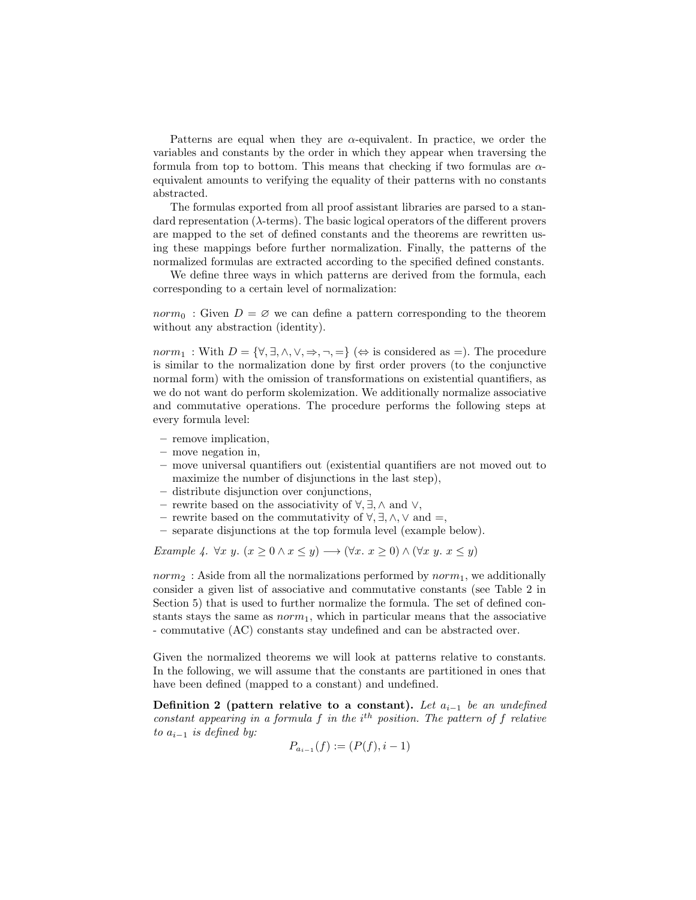Patterns are equal when they are  $\alpha$ -equivalent. In practice, we order the variables and constants by the order in which they appear when traversing the formula from top to bottom. This means that checking if two formulas are  $\alpha$ equivalent amounts to verifying the equality of their patterns with no constants abstracted.

The formulas exported from all proof assistant libraries are parsed to a standard representation ( $\lambda$ -terms). The basic logical operators of the different provers are mapped to the set of defined constants and the theorems are rewritten using these mappings before further normalization. Finally, the patterns of the normalized formulas are extracted according to the specified defined constants.

We define three ways in which patterns are derived from the formula, each corresponding to a certain level of normalization:

norm<sub>0</sub>: Given  $D = \emptyset$  we can define a pattern corresponding to the theorem without any abstraction (identity).

norm<sub>1</sub> : With  $D = \{ \forall, \exists, \wedge, \vee, \Rightarrow, \neg, \equiv \}$  ( $\Leftrightarrow$  is considered as  $=$ ). The procedure is similar to the normalization done by first order provers (to the conjunctive normal form) with the omission of transformations on existential quantifiers, as we do not want do perform skolemization. We additionally normalize associative and commutative operations. The procedure performs the following steps at every formula level:

- remove implication,
- move negation in,
- move universal quantifiers out (existential quantifiers are not moved out to maximize the number of disjunctions in the last step),
- distribute disjunction over conjunctions,
- rewrite based on the associativity of ∀, ∃, ∧ and ∨,
- rewrite based on the commutativity of  $\forall$ ,  $\exists$ ,  $\wedge$ ,  $\vee$  and  $=$ ,
- separate disjunctions at the top formula level (example below).

Example 4.  $\forall x \ y. \ (x > 0 \land x \leq y) \longrightarrow (\forall x. \ x > 0) \land (\forall x \ y. \ x \leq y)$ 

 $norm<sub>2</sub>$ : Aside from all the normalizations performed by  $norm<sub>1</sub>$ , we additionally consider a given list of associative and commutative constants (see Table 2 in Section 5) that is used to further normalize the formula. The set of defined constants stays the same as  $norm<sub>1</sub>$ , which in particular means that the associative - commutative (AC) constants stay undefined and can be abstracted over.

Given the normalized theorems we will look at patterns relative to constants. In the following, we will assume that the constants are partitioned in ones that have been defined (mapped to a constant) and undefined.

Definition 2 (pattern relative to a constant). Let  $a_{i-1}$  be an undefined constant appearing in a formula  $f$  in the  $i<sup>th</sup>$  position. The pattern of  $f$  relative to  $a_{i-1}$  is defined by:

$$
P_{a_{i-1}}(f) := (P(f), i-1)
$$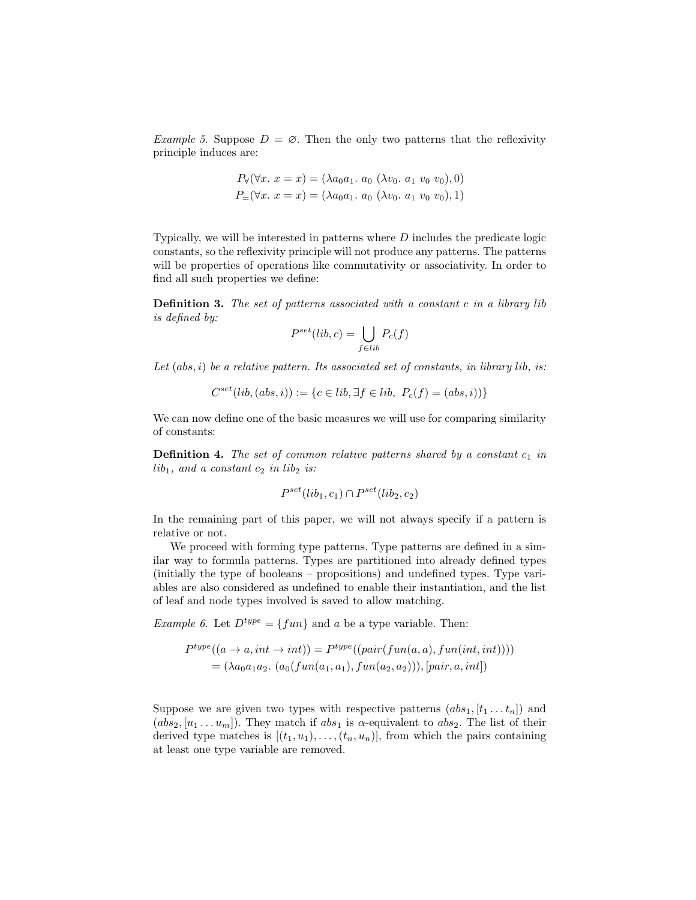Example 5. Suppose  $D = \emptyset$ . Then the only two patterns that the reflexivity principle induces are:

$$
P_{\forall}(\forall x. x = x) = (\lambda a_0 a_1. a_0 (\lambda v_0. a_1 v_0 v_0), 0)
$$
  

$$
P_{=}(\forall x. x = x) = (\lambda a_0 a_1. a_0 (\lambda v_0. a_1 v_0 v_0), 1)
$$

Typically, we will be interested in patterns where  $D$  includes the predicate logic constants, so the reflexivity principle will not produce any patterns. The patterns will be properties of operations like commutativity or associativity. In order to find all such properties we define:

Definition 3. The set of patterns associated with a constant c in a library lib is defined by:

$$
P^{set}(lib, c) = \bigcup_{f \in lib} P_c(f)
$$

Let  $(abs, i)$  be a relative pattern. Its associated set of constants, in library lib, is:

$$
C^{set}(lib, (abs, i)) := \{c \in lib, \exists f \in lib, P_c(f) = (abs, i))\}
$$

We can now define one of the basic measures we will use for comparing similarity of constants:

**Definition 4.** The set of common relative patterns shared by a constant  $c_1$  in  $lib_1$ , and a constant  $c_2$  in lib<sub>2</sub> is:

$$
P^{set}(lib_1, c_1) \cap P^{set}(lib_2, c_2)
$$

In the remaining part of this paper, we will not always specify if a pattern is relative or not.

We proceed with forming type patterns. Type patterns are defined in a similar way to formula patterns. Types are partitioned into already defined types (initially the type of booleans – propositions) and undefined types. Type variables are also considered as undefined to enable their instantiation, and the list of leaf and node types involved is saved to allow matching.

Example 6. Let  $D^{type} = \{fun\}$  and a be a type variable. Then:

$$
P^{type}((a \rightarrow a, int \rightarrow int)) = P^{type}((pair(fun(a, a), fun(int, int))))
$$
  
=  $(\lambda a_0 a_1 a_2. (a_0(fun(a_1, a_1), fun(a_2, a_2))), [pair, a, int])$ 

Suppose we are given two types with respective patterns  $(abs_1, [t_1 \dots t_n])$  and  $(abs_2, [u_1 \dots u_m])$ . They match if  $abs_1$  is  $\alpha$ -equivalent to  $abs_2$ . The list of their derived type matches is  $[(t_1, u_1), \ldots, (t_n, u_n)]$ , from which the pairs containing at least one type variable are removed.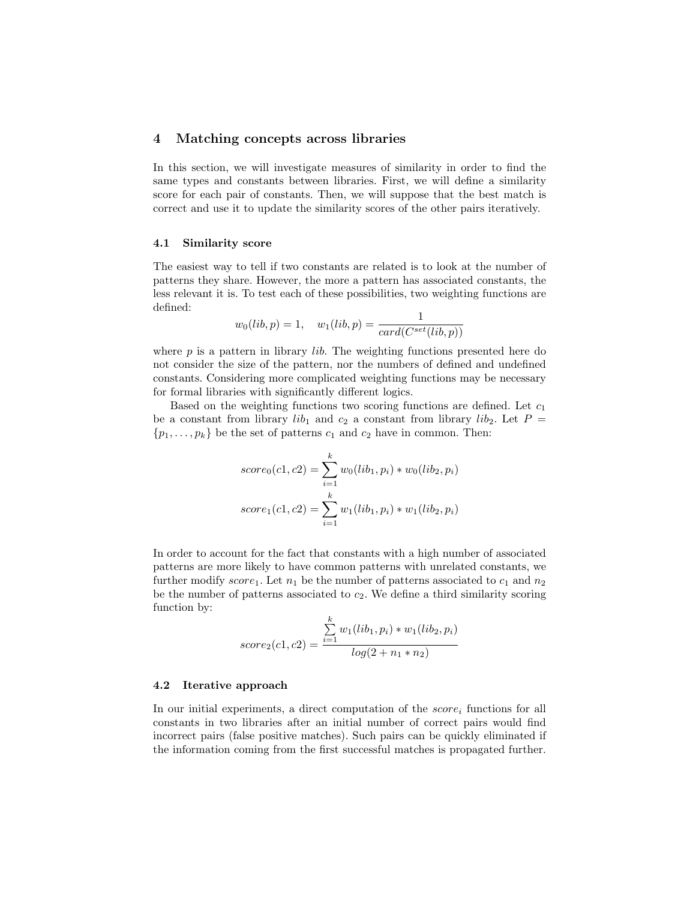#### 4 Matching concepts across libraries

In this section, we will investigate measures of similarity in order to find the same types and constants between libraries. First, we will define a similarity score for each pair of constants. Then, we will suppose that the best match is correct and use it to update the similarity scores of the other pairs iteratively.

#### 4.1 Similarity score

The easiest way to tell if two constants are related is to look at the number of patterns they share. However, the more a pattern has associated constants, the less relevant it is. To test each of these possibilities, two weighting functions are defined:

$$
w_0(lib, p) = 1, \quad w_1(lib, p) = \frac{1}{card(C^{set}(lib, p))}
$$

where  $p$  is a pattern in library *lib*. The weighting functions presented here do not consider the size of the pattern, nor the numbers of defined and undefined constants. Considering more complicated weighting functions may be necessary for formal libraries with significantly different logics.

Based on the weighting functions two scoring functions are defined. Let  $c_1$ be a constant from library lib<sub>1</sub> and  $c_2$  a constant from library lib<sub>2</sub>. Let  $P =$  $\{p_1, \ldots, p_k\}$  be the set of patterns  $c_1$  and  $c_2$  have in common. Then:

$$
score_0(c1, c2) = \sum_{i=1}^{k} w_0(lib_1, p_i) * w_0(lib_2, p_i)
$$

$$
score_1(c1, c2) = \sum_{i=1}^{k} w_1(lib_1, p_i) * w_1(lib_2, p_i)
$$

In order to account for the fact that constants with a high number of associated patterns are more likely to have common patterns with unrelated constants, we further modify  $score_1$ . Let  $n_1$  be the number of patterns associated to  $c_1$  and  $n_2$ be the number of patterns associated to  $c_2$ . We define a third similarity scoring function by:

$$
score_2(c1, c2) = \frac{\sum_{i=1}^{k} w_1(lib_1, p_i) * w_1(lib_2, p_i)}{log(2 + n_1 * n_2)}
$$

#### 4.2 Iterative approach

In our initial experiments, a direct computation of the  $score_i$  functions for all constants in two libraries after an initial number of correct pairs would find incorrect pairs (false positive matches). Such pairs can be quickly eliminated if the information coming from the first successful matches is propagated further.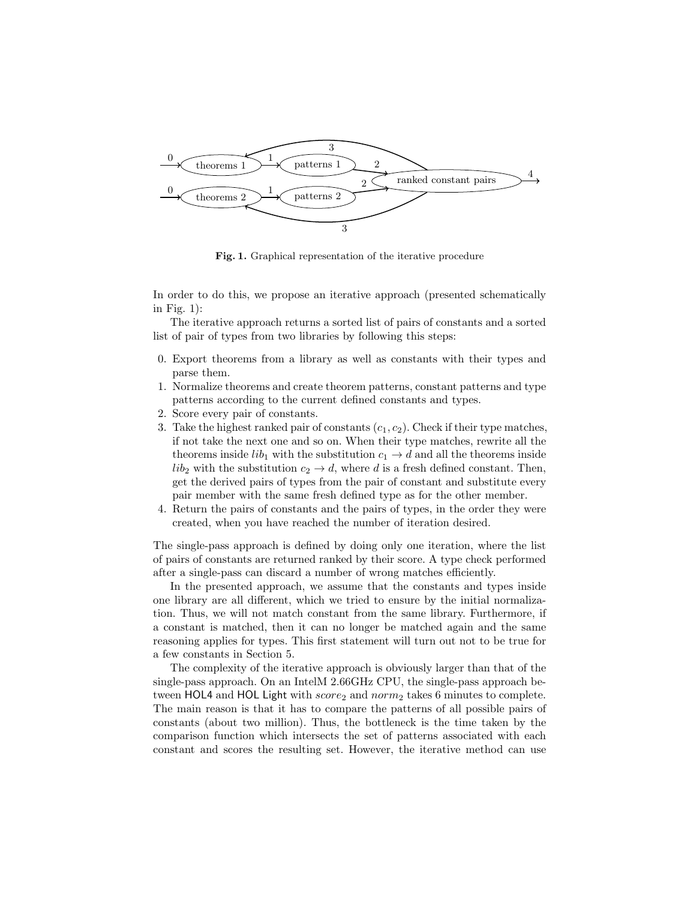

Fig. 1. Graphical representation of the iterative procedure

In order to do this, we propose an iterative approach (presented schematically in Fig.  $1$ :

The iterative approach returns a sorted list of pairs of constants and a sorted list of pair of types from two libraries by following this steps:

- 0. Export theorems from a library as well as constants with their types and parse them.
- 1. Normalize theorems and create theorem patterns, constant patterns and type patterns according to the current defined constants and types.
- 2. Score every pair of constants.
- 3. Take the highest ranked pair of constants  $(c_1, c_2)$ . Check if their type matches, if not take the next one and so on. When their type matches, rewrite all the theorems inside  $lib_1$  with the substitution  $c_1 \rightarrow d$  and all the theorems inside  $lib<sub>2</sub>$  with the substitution  $c<sub>2</sub> \rightarrow d$ , where d is a fresh defined constant. Then, get the derived pairs of types from the pair of constant and substitute every pair member with the same fresh defined type as for the other member.
- 4. Return the pairs of constants and the pairs of types, in the order they were created, when you have reached the number of iteration desired.

The single-pass approach is defined by doing only one iteration, where the list of pairs of constants are returned ranked by their score. A type check performed after a single-pass can discard a number of wrong matches efficiently.

In the presented approach, we assume that the constants and types inside one library are all different, which we tried to ensure by the initial normalization. Thus, we will not match constant from the same library. Furthermore, if a constant is matched, then it can no longer be matched again and the same reasoning applies for types. This first statement will turn out not to be true for a few constants in Section 5.

The complexity of the iterative approach is obviously larger than that of the single-pass approach. On an IntelM 2.66GHz CPU, the single-pass approach between HOL4 and HOL Light with score<sub>2</sub> and norm<sub>2</sub> takes 6 minutes to complete. The main reason is that it has to compare the patterns of all possible pairs of constants (about two million). Thus, the bottleneck is the time taken by the comparison function which intersects the set of patterns associated with each constant and scores the resulting set. However, the iterative method can use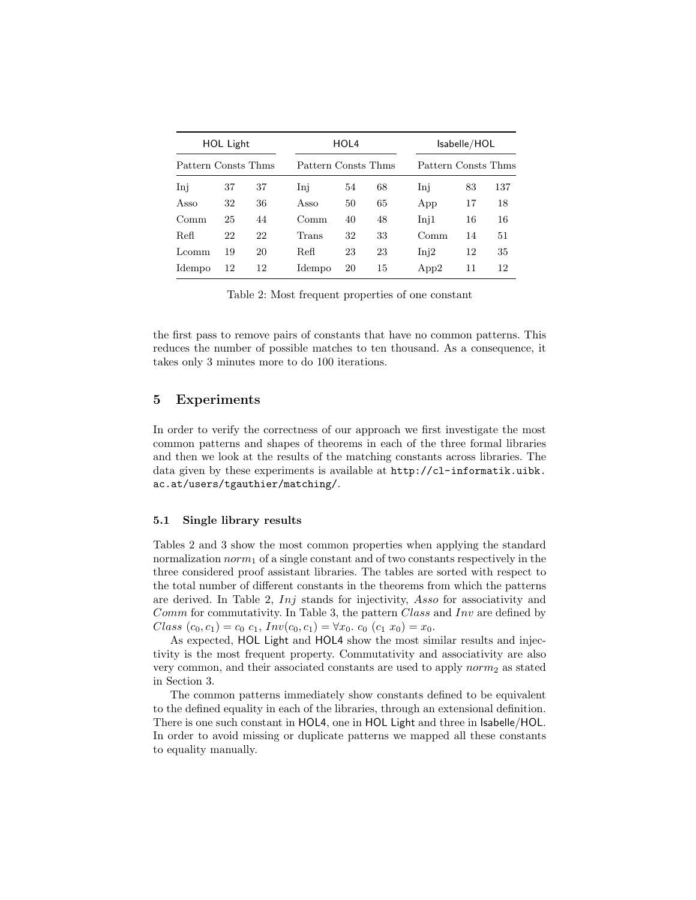| HOL Light           |    |    |                     | HOL4 |    |                     | Isabelle/HOL |     |  |
|---------------------|----|----|---------------------|------|----|---------------------|--------------|-----|--|
| Pattern Consts Thms |    |    | Pattern Consts Thms |      |    | Pattern Consts Thms |              |     |  |
| Inj                 | 37 | 37 | Inj                 | 54   | 68 | Inj                 | 83           | 137 |  |
| Asso                | 32 | 36 | Asso                | 50   | 65 | App                 | 17           | 18  |  |
| Comm                | 25 | 44 | Comm                | 40   | 48 | Inj1                | 16           | 16  |  |
| Refl                | 22 | 22 | Trans               | 32   | 33 | Comm                | 14           | 51  |  |
| Leomm               | 19 | 20 | Refl                | 23   | 23 | Inj2                | 12           | 35  |  |
| Idempo              | 12 | 12 | Idempo              | 20   | 15 | App2                | 11           | 12  |  |

Table 2: Most frequent properties of one constant

the first pass to remove pairs of constants that have no common patterns. This reduces the number of possible matches to ten thousand. As a consequence, it takes only 3 minutes more to do 100 iterations.

# 5 Experiments

In order to verify the correctness of our approach we first investigate the most common patterns and shapes of theorems in each of the three formal libraries and then we look at the results of the matching constants across libraries. The data given by these experiments is available at http://cl-informatik.uibk. ac.at/users/tgauthier/matching/.

### 5.1 Single library results

Tables 2 and 3 show the most common properties when applying the standard normalization  $norm_1$  of a single constant and of two constants respectively in the three considered proof assistant libraries. The tables are sorted with respect to the total number of different constants in the theorems from which the patterns are derived. In Table 2,  $Inj$  stands for injectivity, Asso for associativity and Comm for commutativity. In Table 3, the pattern Class and  $Inv$  are defined by Class  $(c_0, c_1) = c_0 \ c_1$ ,  $Inv(c_0, c_1) = \forall x_0$ .  $c_0 \ (c_1 \ x_0) = x_0$ .

As expected, HOL Light and HOL4 show the most similar results and injectivity is the most frequent property. Commutativity and associativity are also very common, and their associated constants are used to apply  $norm<sub>2</sub>$  as stated in Section 3.

The common patterns immediately show constants defined to be equivalent to the defined equality in each of the libraries, through an extensional definition. There is one such constant in HOL4, one in HOL Light and three in Isabelle/HOL. In order to avoid missing or duplicate patterns we mapped all these constants to equality manually.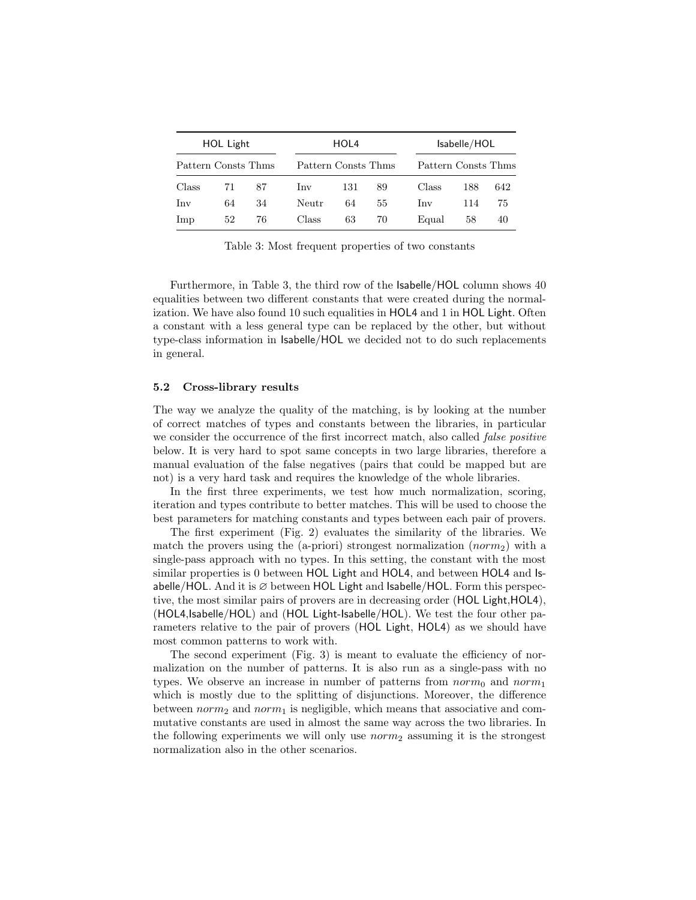| HOL Light           |    |    | HOL4                |     |    | Isabelle/HOL        |     |     |
|---------------------|----|----|---------------------|-----|----|---------------------|-----|-----|
| Pattern Consts Thms |    |    | Pattern Consts Thms |     |    | Pattern Consts Thms |     |     |
| Class               | 71 | 87 | Inv                 | 131 | 89 | Class               | 188 | 642 |
| Inv                 | 64 | 34 | Neutr               | 64  | 55 | Inv                 | 114 | 75  |
| Imp                 | 52 | 76 | Class               | 63  | 70 | Equal               | 58  | 40  |

Table 3: Most frequent properties of two constants

Furthermore, in Table 3, the third row of the Isabelle/HOL column shows 40 equalities between two different constants that were created during the normalization. We have also found 10 such equalities in HOL4 and 1 in HOL Light. Often a constant with a less general type can be replaced by the other, but without type-class information in Isabelle/HOL we decided not to do such replacements in general.

#### 5.2 Cross-library results

The way we analyze the quality of the matching, is by looking at the number of correct matches of types and constants between the libraries, in particular we consider the occurrence of the first incorrect match, also called *false positive* below. It is very hard to spot same concepts in two large libraries, therefore a manual evaluation of the false negatives (pairs that could be mapped but are not) is a very hard task and requires the knowledge of the whole libraries.

In the first three experiments, we test how much normalization, scoring, iteration and types contribute to better matches. This will be used to choose the best parameters for matching constants and types between each pair of provers.

The first experiment (Fig. 2) evaluates the similarity of the libraries. We match the provers using the (a-priori) strongest normalization  $(norm_2)$  with a single-pass approach with no types. In this setting, the constant with the most similar properties is 0 between HOL Light and HOL4, and between HOL4 and Isabelle/HOL. And it is  $\varnothing$  between HOL Light and Isabelle/HOL. Form this perspective, the most similar pairs of provers are in decreasing order (HOL Light,HOL4), (HOL4,Isabelle/HOL) and (HOL Light-Isabelle/HOL). We test the four other parameters relative to the pair of provers (HOL Light, HOL4) as we should have most common patterns to work with.

The second experiment (Fig. 3) is meant to evaluate the efficiency of normalization on the number of patterns. It is also run as a single-pass with no types. We observe an increase in number of patterns from  $norm_0$  and  $norm_1$ which is mostly due to the splitting of disjunctions. Moreover, the difference between norm<sub>2</sub> and norm<sub>1</sub> is negligible, which means that associative and commutative constants are used in almost the same way across the two libraries. In the following experiments we will only use  $norm<sub>2</sub>$  assuming it is the strongest normalization also in the other scenarios.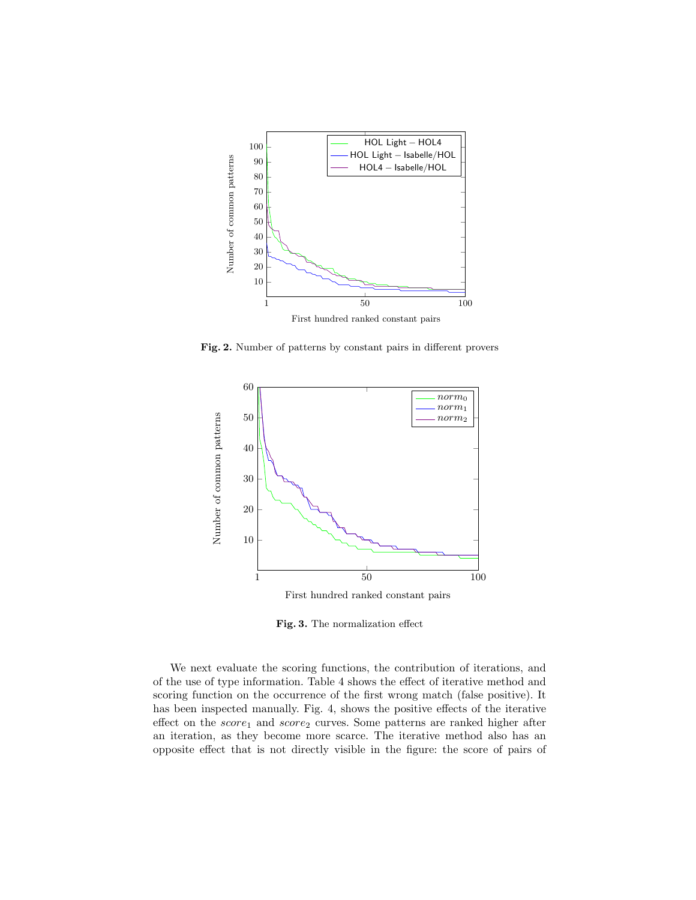

Fig. 2. Number of patterns by constant pairs in different provers



Fig. 3. The normalization effect

We next evaluate the scoring functions, the contribution of iterations, and of the use of type information. Table 4 shows the effect of iterative method and scoring function on the occurrence of the first wrong match (false positive). It has been inspected manually. Fig. 4, shows the positive effects of the iterative effect on the  $score_1$  and  $score_2$  curves. Some patterns are ranked higher after an iteration, as they become more scarce. The iterative method also has an opposite effect that is not directly visible in the figure: the score of pairs of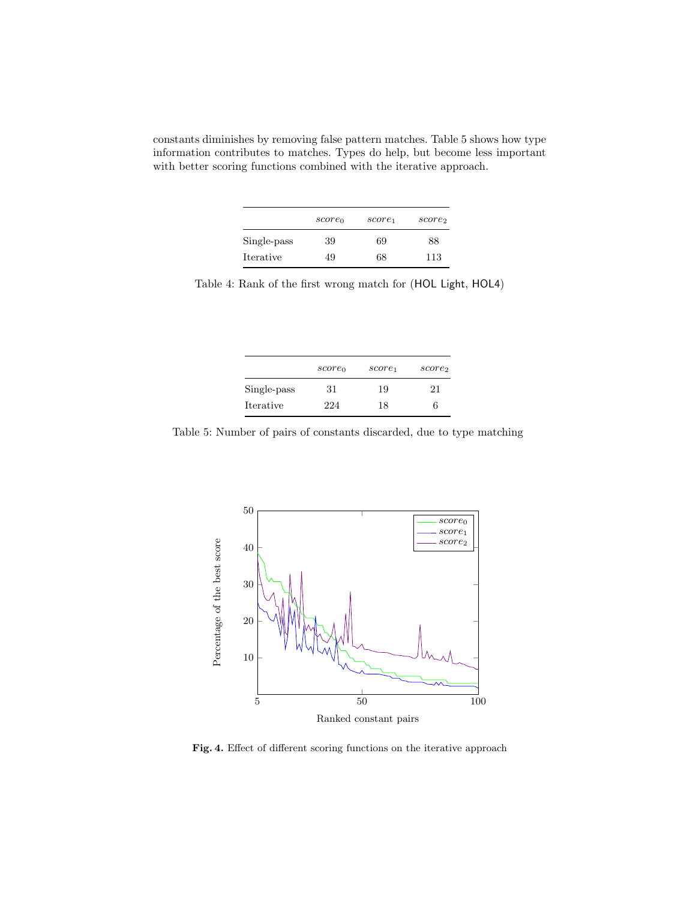constants diminishes by removing false pattern matches. Table 5 shows how type information contributes to matches. Types do help, but become less important with better scoring functions combined with the iterative approach.

|             | scoreo | score <sub>1</sub> | score <sub>2</sub> |
|-------------|--------|--------------------|--------------------|
| Single-pass | 39     | 69                 | 88                 |
| Iterative   | 49     | 68                 | 113                |

Table 4: Rank of the first wrong match for (HOL Light, HOL4)

|             | scoreo | score <sub>1</sub> | score <sub>2</sub> |
|-------------|--------|--------------------|--------------------|
| Single-pass | 31     | 19                 | 21                 |
| Iterative   | 224    | 18                 | 6                  |

Table 5: Number of pairs of constants discarded, due to type matching



Fig. 4. Effect of different scoring functions on the iterative approach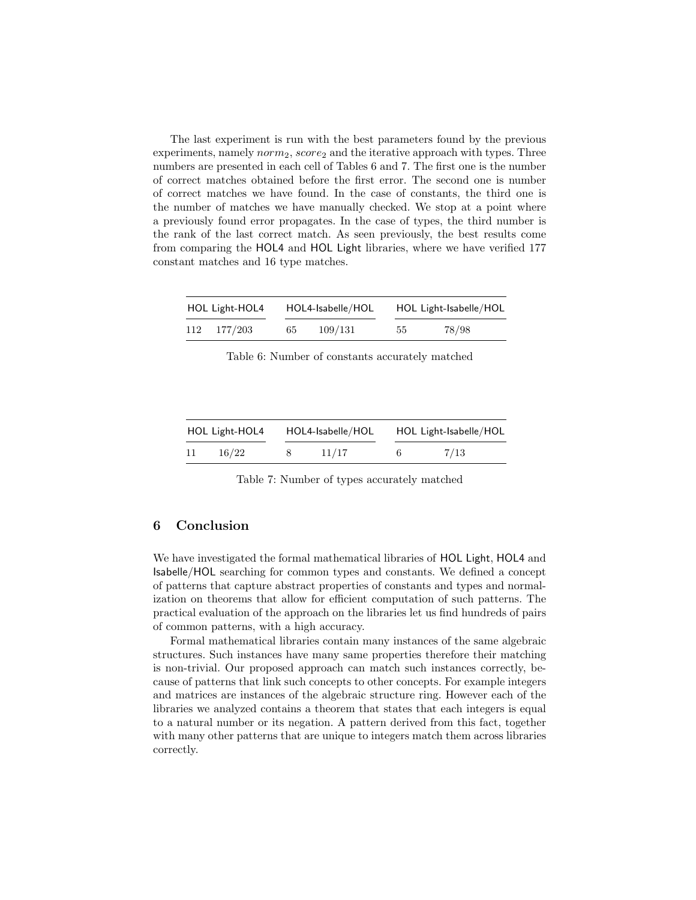The last experiment is run with the best parameters found by the previous experiments, namely  $norm<sub>2</sub>$ ,  $score<sub>2</sub>$  and the iterative approach with types. Three numbers are presented in each cell of Tables 6 and 7. The first one is the number of correct matches obtained before the first error. The second one is number of correct matches we have found. In the case of constants, the third one is the number of matches we have manually checked. We stop at a point where a previously found error propagates. In the case of types, the third number is the rank of the last correct match. As seen previously, the best results come from comparing the HOL4 and HOL Light libraries, where we have verified 177 constant matches and 16 type matches.

| HOL Light-HOL4 |         |    | HOL4-Isabelle/HOL |    | HOL Light-Isabelle/HOL |  |  |
|----------------|---------|----|-------------------|----|------------------------|--|--|
| 112            | 177/203 | 65 | 109/131           | 55 | 78/98                  |  |  |

Table 6: Number of constants accurately matched

| HOL Light-HOL4 |       | HOL4-Isabelle/HOL |       | HOL Light-Isabelle/HOL |      |  |
|----------------|-------|-------------------|-------|------------------------|------|--|
|                | 16/22 |                   | 11/17 |                        | 7/13 |  |

Table 7: Number of types accurately matched

# 6 Conclusion

We have investigated the formal mathematical libraries of HOL Light, HOL4 and Isabelle/HOL searching for common types and constants. We defined a concept of patterns that capture abstract properties of constants and types and normalization on theorems that allow for efficient computation of such patterns. The practical evaluation of the approach on the libraries let us find hundreds of pairs of common patterns, with a high accuracy.

Formal mathematical libraries contain many instances of the same algebraic structures. Such instances have many same properties therefore their matching is non-trivial. Our proposed approach can match such instances correctly, because of patterns that link such concepts to other concepts. For example integers and matrices are instances of the algebraic structure ring. However each of the libraries we analyzed contains a theorem that states that each integers is equal to a natural number or its negation. A pattern derived from this fact, together with many other patterns that are unique to integers match them across libraries correctly.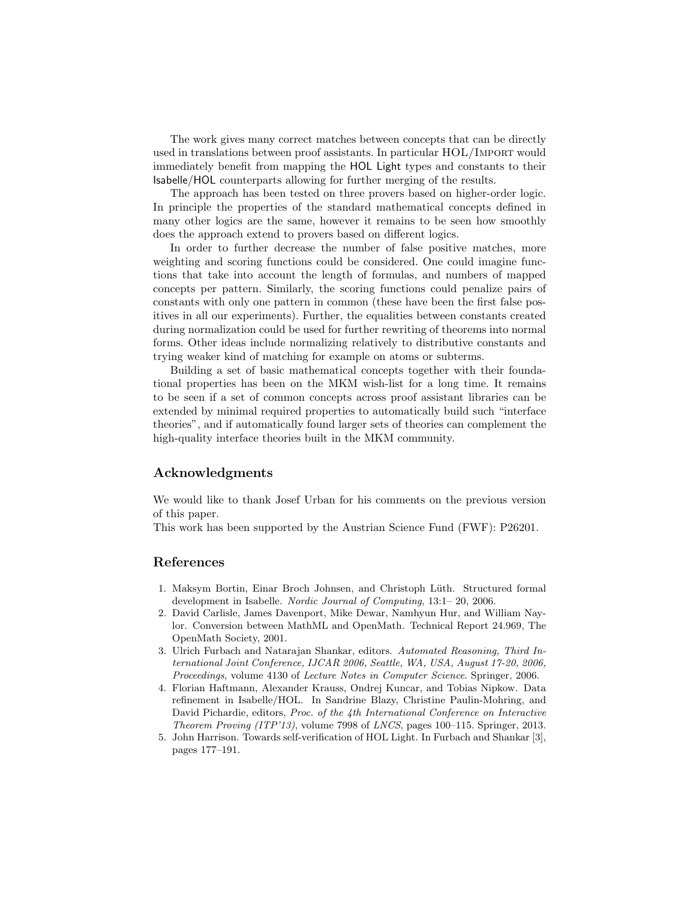The work gives many correct matches between concepts that can be directly used in translations between proof assistants. In particular HOL/Import would immediately benefit from mapping the HOL Light types and constants to their Isabelle/HOL counterparts allowing for further merging of the results.

The approach has been tested on three provers based on higher-order logic. In principle the properties of the standard mathematical concepts defined in many other logics are the same, however it remains to be seen how smoothly does the approach extend to provers based on different logics.

In order to further decrease the number of false positive matches, more weighting and scoring functions could be considered. One could imagine functions that take into account the length of formulas, and numbers of mapped concepts per pattern. Similarly, the scoring functions could penalize pairs of constants with only one pattern in common (these have been the first false positives in all our experiments). Further, the equalities between constants created during normalization could be used for further rewriting of theorems into normal forms. Other ideas include normalizing relatively to distributive constants and trying weaker kind of matching for example on atoms or subterms.

Building a set of basic mathematical concepts together with their foundational properties has been on the MKM wish-list for a long time. It remains to be seen if a set of common concepts across proof assistant libraries can be extended by minimal required properties to automatically build such "interface theories", and if automatically found larger sets of theories can complement the high-quality interface theories built in the MKM community.

# Acknowledgments

We would like to thank Josef Urban for his comments on the previous version of this paper.

This work has been supported by the Austrian Science Fund (FWF): P26201.

# References

- 1. Maksym Bortin, Einar Broch Johnsen, and Christoph Lüth. Structured formal development in Isabelle. Nordic Journal of Computing, 13:1– 20, 2006.
- 2. David Carlisle, James Davenport, Mike Dewar, Namhyun Hur, and William Naylor. Conversion between MathML and OpenMath. Technical Report 24.969, The OpenMath Society, 2001.
- 3. Ulrich Furbach and Natarajan Shankar, editors. Automated Reasoning, Third International Joint Conference, IJCAR 2006, Seattle, WA, USA, August 17-20, 2006, Proceedings, volume 4130 of Lecture Notes in Computer Science. Springer, 2006.
- 4. Florian Haftmann, Alexander Krauss, Ondrej Kuncar, and Tobias Nipkow. Data refinement in Isabelle/HOL. In Sandrine Blazy, Christine Paulin-Mohring, and David Pichardie, editors, *Proc. of the 4th International Conference on Interactive* Theorem Proving (ITP'13), volume 7998 of LNCS, pages 100–115. Springer, 2013.
- 5. John Harrison. Towards self-verification of HOL Light. In Furbach and Shankar [3], pages 177–191.